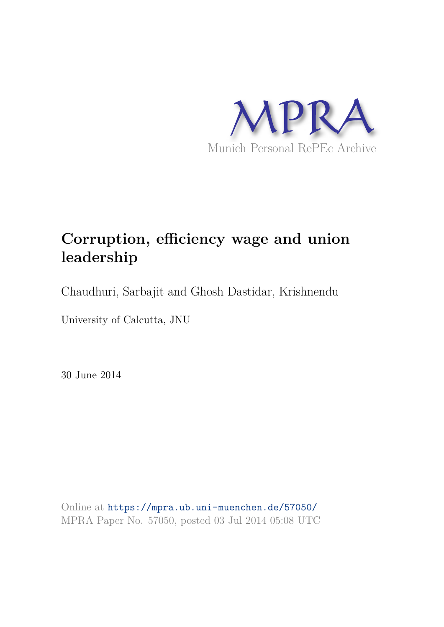

# **Corruption, efficiency wage and union leadership**

Chaudhuri, Sarbajit and Ghosh Dastidar, Krishnendu

University of Calcutta, JNU

30 June 2014

Online at https://mpra.ub.uni-muenchen.de/57050/ MPRA Paper No. 57050, posted 03 Jul 2014 05:08 UTC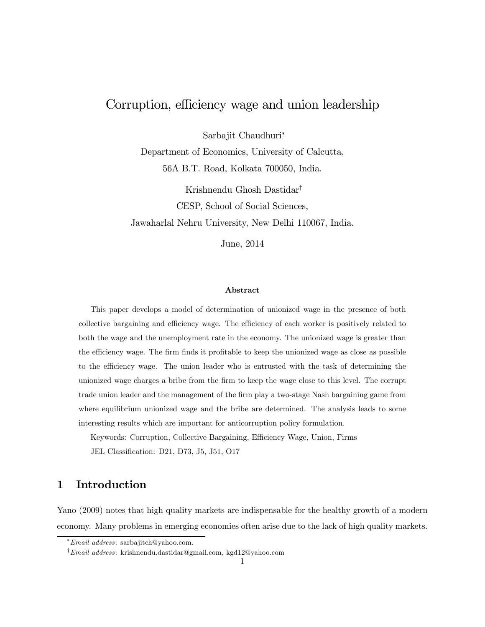## Corruption, efficiency wage and union leadership

Sarbajit Chaudhuri

Department of Economics, University of Calcutta, 56A B.T. Road, Kolkata 700050, India.

Krishnendu Ghosh Dastidar<sup>†</sup> CESP, School of Social Sciences, Jawaharlal Nehru University, New Delhi 110067, India.

June, 2014

#### Abstract

This paper develops a model of determination of unionized wage in the presence of both collective bargaining and efficiency wage. The efficiency of each worker is positively related to both the wage and the unemployment rate in the economy. The unionized wage is greater than the efficiency wage. The firm finds it profitable to keep the unionized wage as close as possible to the efficiency wage. The union leader who is entrusted with the task of determining the unionized wage charges a bribe from the Örm to keep the wage close to this level. The corrupt trade union leader and the management of the firm play a two-stage Nash bargaining game from where equilibrium unionized wage and the bribe are determined. The analysis leads to some interesting results which are important for anticorruption policy formulation.

Keywords: Corruption, Collective Bargaining, Efficiency Wage, Union, Firms JEL Classification: D21, D73, J5, J51, O17

## 1 Introduction

Yano (2009) notes that high quality markets are indispensable for the healthy growth of a modern economy. Many problems in emerging economies often arise due to the lack of high quality markets.

Email address: sarbajitch@yahoo.com.

<sup>y</sup>Email address: krishnendu.dastidar@gmail.com, kgd12@yahoo.com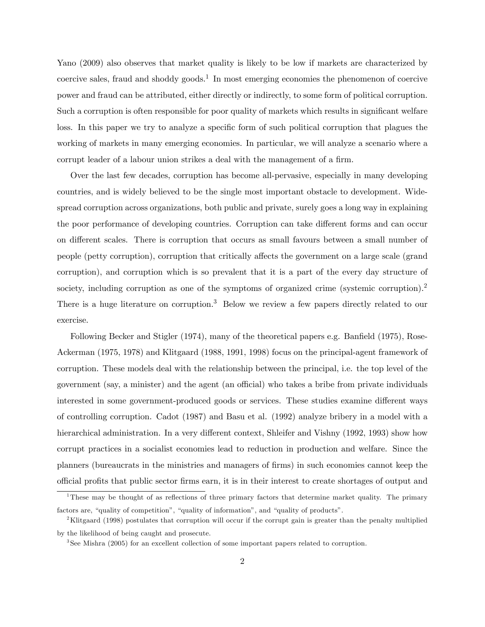Yano (2009) also observes that market quality is likely to be low if markets are characterized by coercive sales, fraud and shoddy goods.<sup>1</sup> In most emerging economies the phenomenon of coercive power and fraud can be attributed, either directly or indirectly, to some form of political corruption. Such a corruption is often responsible for poor quality of markets which results in significant welfare loss. In this paper we try to analyze a specific form of such political corruption that plagues the working of markets in many emerging economies. In particular, we will analyze a scenario where a corrupt leader of a labour union strikes a deal with the management of a firm.

Over the last few decades, corruption has become all-pervasive, especially in many developing countries, and is widely believed to be the single most important obstacle to development. Widespread corruption across organizations, both public and private, surely goes a long way in explaining the poor performance of developing countries. Corruption can take different forms and can occur on different scales. There is corruption that occurs as small favours between a small number of people (petty corruption), corruption that critically affects the government on a large scale (grand corruption), and corruption which is so prevalent that it is a part of the every day structure of society, including corruption as one of the symptoms of organized crime (systemic corruption).<sup>2</sup> There is a huge literature on corruption.<sup>3</sup> Below we review a few papers directly related to our exercise.

Following Becker and Stigler  $(1974)$ , many of the theoretical papers e.g. Banfield  $(1975)$ , Rose-Ackerman (1975, 1978) and Klitgaard (1988, 1991, 1998) focus on the principal-agent framework of corruption. These models deal with the relationship between the principal, i.e. the top level of the government (say, a minister) and the agent (an official) who takes a bribe from private individuals interested in some government-produced goods or services. These studies examine different ways of controlling corruption. Cadot (1987) and Basu et al. (1992) analyze bribery in a model with a hierarchical administration. In a very different context, Shleifer and Vishny (1992, 1993) show how corrupt practices in a socialist economies lead to reduction in production and welfare. Since the planners (bureaucrats in the ministries and managers of Örms) in such economies cannot keep the o¢cial proÖts that public sector Örms earn, it is in their interest to create shortages of output and

<sup>&</sup>lt;sup>1</sup>These may be thought of as reflections of three primary factors that determine market quality. The primary factors are, "quality of competition", "quality of information", and "quality of products".

<sup>&</sup>lt;sup>2</sup>Klitgaard (1998) postulates that corruption will occur if the corrupt gain is greater than the penalty multiplied by the likelihood of being caught and prosecute.

<sup>3</sup> See Mishra (2005) for an excellent collection of some important papers related to corruption.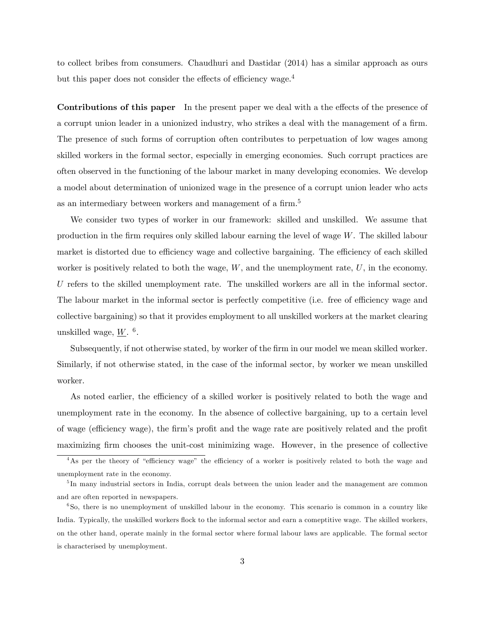to collect bribes from consumers. Chaudhuri and Dastidar (2014) has a similar approach as ours but this paper does not consider the effects of efficiency wage. $4$ 

Contributions of this paper In the present paper we deal with a the effects of the presence of a corrupt union leader in a unionized industry, who strikes a deal with the management of a firm. The presence of such forms of corruption often contributes to perpetuation of low wages among skilled workers in the formal sector, especially in emerging economies. Such corrupt practices are often observed in the functioning of the labour market in many developing economies. We develop a model about determination of unionized wage in the presence of a corrupt union leader who acts as an intermediary between workers and management of a firm.<sup>5</sup>

We consider two types of worker in our framework: skilled and unskilled. We assume that production in the firm requires only skilled labour earning the level of wage  $W$ . The skilled labour market is distorted due to efficiency wage and collective bargaining. The efficiency of each skilled worker is positively related to both the wage,  $W$ , and the unemployment rate,  $U$ , in the economy. U refers to the skilled unemployment rate. The unskilled workers are all in the informal sector. The labour market in the informal sector is perfectly competitive (i.e. free of efficiency wage and collective bargaining) so that it provides employment to all unskilled workers at the market clearing unskilled wage,  $\underline{W}$ . <sup>6</sup>.

Subsequently, if not otherwise stated, by worker of the firm in our model we mean skilled worker. Similarly, if not otherwise stated, in the case of the informal sector, by worker we mean unskilled worker.

As noted earlier, the efficiency of a skilled worker is positively related to both the wage and unemployment rate in the economy. In the absence of collective bargaining, up to a certain level of wage (efficiency wage), the firm's profit and the wage rate are positively related and the profit maximizing firm chooses the unit-cost minimizing wage. However, in the presence of collective

<sup>&</sup>lt;sup>4</sup>As per the theory of "efficiency wage" the efficiency of a worker is positively related to both the wage and unemployment rate in the economy.

<sup>&</sup>lt;sup>5</sup>In many industrial sectors in India, corrupt deals between the union leader and the management are common and are often reported in newspapers.

<sup>6</sup> So, there is no unemployment of unskilled labour in the economy. This scenario is common in a country like India. Typically, the unskilled workers flock to the informal sector and earn a comeptitive wage. The skilled workers, on the other hand, operate mainly in the formal sector where formal labour laws are applicable. The formal sector is characterised by unemployment.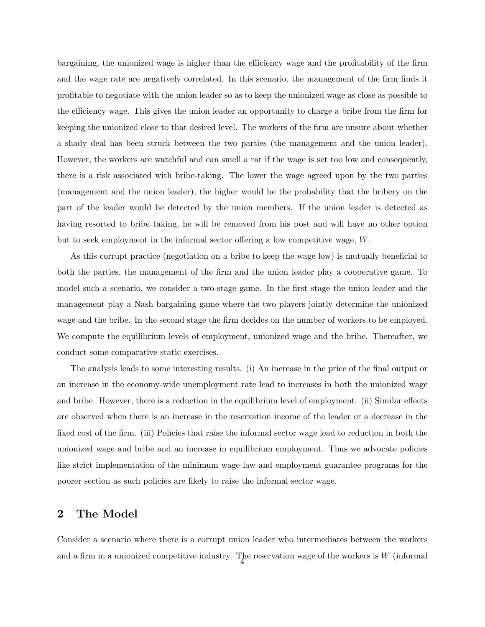bargaining, the unionized wage is higher than the efficiency wage and the profitability of the firm and the wage rate are negatively correlated. In this scenario, the management of the firm finds it proÖtable to negotiate with the union leader so as to keep the unionized wage as close as possible to the efficiency wage. This gives the union leader an opportunity to charge a bribe from the firm for keeping the unionized close to that desired level. The workers of the firm are unsure about whether a shady deal has been struck between the two parties (the management and the union leader). However, the workers are watchful and can smell a rat if the wage is set too low and consequently, there is a risk associated with bribe-taking. The lower the wage agreed upon by the two parties (management and the union leader), the higher would be the probability that the bribery on the part of the leader would be detected by the union members. If the union leader is detected as having resorted to bribe taking, he will be removed from his post and will have no other option but to seek employment in the informal sector offering a low competitive wage,  $W$ .

As this corrupt practice (negotiation on a bribe to keep the wage low) is mutually beneficial to both the parties, the management of the firm and the union leader play a cooperative game. To model such a scenario, we consider a two-stage game. In the first stage the union leader and the management play a Nash bargaining game where the two players jointly determine the unionized wage and the bribe. In the second stage the firm decides on the number of workers to be employed. We compute the equilibrium levels of employment, unionized wage and the bribe. Thereafter, we conduct some comparative static exercises.

The analysis leads to some interesting results. (i) An increase in the price of the final output or an increase in the economy-wide unemployment rate lead to increases in both the unionized wage and bribe. However, there is a reduction in the equilibrium level of employment. (ii) Similar effects are observed when there is an increase in the reservation income of the leader or a decrease in the fixed cost of the firm. (iii) Policies that raise the informal sector wage lead to reduction in both the unionized wage and bribe and an increase in equilibrium employment. Thus we advocate policies like strict implementation of the minimum wage law and employment guarantee programs for the poorer section as such policies are likely to raise the informal sector wage.

### 2 The Model

Consider a scenario where there is a corrupt union leader who intermediates between the workers and a firm in a unionized competitive industry. The reservation wage of the workers is  $\underline{W}$  (informal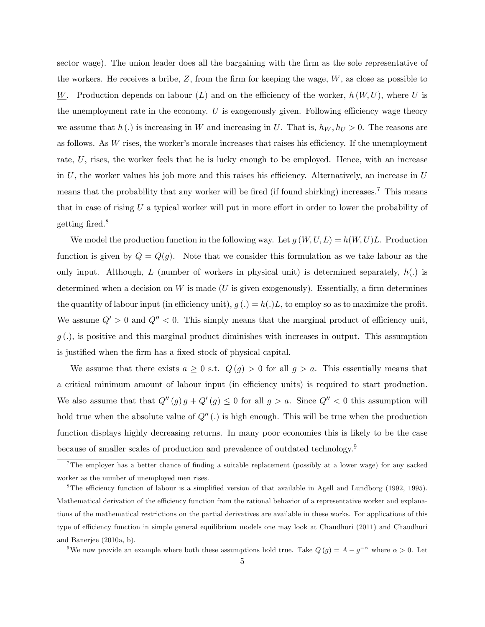sector wage). The union leader does all the bargaining with the firm as the sole representative of the workers. He receives a bribe,  $Z$ , from the firm for keeping the wage,  $W$ , as close as possible to W. Production depends on labour  $(L)$  and on the efficiency of the worker,  $h(W, U)$ , where U is the unemployment rate in the economy. U is exogenously given. Following efficiency wage theory we assume that h(.) is increasing in W and increasing in U. That is,  $h_W, h_U > 0$ . The reasons are as follows. As  $W$  rises, the worker's morale increases that raises his efficiency. If the unemployment rate, U, rises, the worker feels that he is lucky enough to be employed. Hence, with an increase in U, the worker values his job more and this raises his efficiency. Alternatively, an increase in  $U$ means that the probability that any worker will be fired (if found shirking) increases.<sup>7</sup> This means that in case of rising  $U$  a typical worker will put in more effort in order to lower the probability of getting fired. $8$ 

We model the production function in the following way. Let  $g(W, U, L) = h(W, U)L$ . Production function is given by  $Q = Q(g)$ . Note that we consider this formulation as we take labour as the only input. Although, L (number of workers in physical unit) is determined separately,  $h(.)$  is determined when a decision on  $W$  is made (U is given exogenously). Essentially, a firm determines the quantity of labour input (in efficiency unit),  $g(.) = h(.)L$ , to employ so as to maximize the profit. We assume  $Q' > 0$  and  $Q'' < 0$ . This simply means that the marginal product of efficiency unit,  $g(.)$ , is positive and this marginal product diminishes with increases in output. This assumption is justified when the firm has a fixed stock of physical capital.

We assume that there exists  $a \geq 0$  s.t.  $Q(g) > 0$  for all  $g > a$ . This essentially means that a critical minimum amount of labour input (in efficiency units) is required to start production. We also assume that that  $Q''(g) g + Q'(g) \leq 0$  for all  $g > a$ . Since  $Q'' < 0$  this assumption will hold true when the absolute value of  $Q''(.)$  is high enough. This will be true when the production function displays highly decreasing returns. In many poor economies this is likely to be the case because of smaller scales of production and prevalence of outdated technology.<sup>9</sup>

<sup>&</sup>lt;sup>7</sup>The employer has a better chance of finding a suitable replacement (possibly at a lower wage) for any sacked worker as the number of unemployed men rises.

 $8$ The efficiency function of labour is a simplified version of that available in Agell and Lundborg (1992, 1995). Mathematical derivation of the efficiency function from the rational behavior of a representative worker and explanations of the mathematical restrictions on the partial derivatives are available in these works. For applications of this type of efficiency function in simple general equilibrium models one may look at Chaudhuri (2011) and Chaudhuri and Banerjee (2010a, b).

<sup>&</sup>lt;sup>9</sup>We now provide an example where both these assumptions hold true. Take  $Q(g) = A - g^{-\alpha}$  where  $\alpha > 0$ . Let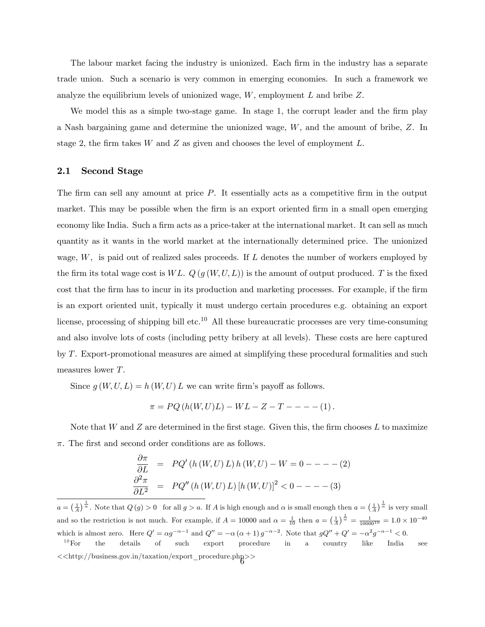The labour market facing the industry is unionized. Each firm in the industry has a separate trade union. Such a scenario is very common in emerging economies. In such a framework we analyze the equilibrium levels of unionized wage,  $W$ , employment  $L$  and bribe  $Z$ .

We model this as a simple two-stage game. In stage 1, the corrupt leader and the firm play a Nash bargaining game and determine the unionized wage, W, and the amount of bribe, Z. In stage 2, the firm takes W and Z as given and chooses the level of employment  $L$ .

#### 2.1 Second Stage

The firm can sell any amount at price  $P$ . It essentially acts as a competitive firm in the output market. This may be possible when the firm is an export oriented firm in a small open emerging economy like India. Such a firm acts as a price-taker at the international market. It can sell as much quantity as it wants in the world market at the internationally determined price. The unionized wage,  $W$ , is paid out of realized sales proceeds. If  $L$  denotes the number of workers employed by the firm its total wage cost is W L.  $Q(g(W, U, L))$  is the amount of output produced. T is the fixed cost that the firm has to incur in its production and marketing processes. For example, if the firm is an export oriented unit, typically it must undergo certain procedures e.g. obtaining an export license, processing of shipping bill etc.<sup>10</sup> All these bureaucratic processes are very time-consuming and also involve lots of costs (including petty bribery at all levels). These costs are here captured by T. Export-promotional measures are aimed at simplifying these procedural formalities and such measures lower T.

Since  $g(W, U, L) = h(W, U) L$  we can write firm's payoff as follows.

$$
\pi = PQ(h(W, U)L) - WL - Z - T - - - - (1).
$$

Note that  $W$  and  $Z$  are determined in the first stage. Given this, the firm chooses  $L$  to maximize  $\pi$ . The first and second order conditions are as follows.

$$
\frac{\partial \pi}{\partial L} = PQ'(h(W, U) L) h(W, U) - W = 0 - - - - (2)
$$
  

$$
\frac{\partial^2 \pi}{\partial L^2} = PQ''(h(W, U) L) [h(W, U)]^2 < 0 - - - - (3)
$$

 $a = \left(\frac{1}{A}\right)^{\frac{1}{\alpha}}$ . Note that  $Q(g) > 0$  for all  $g > a$ . If A is high enough and  $\alpha$  is small enough then  $a = \left(\frac{1}{A}\right)^{\frac{1}{\alpha}}$  is very small and so the restriction is not much. For example, if  $A = 10000$  and  $\alpha = \frac{1}{10}$  then  $a = (\frac{1}{A})^{\frac{1}{\alpha}} = \frac{1}{10000^{10}} = 1.0 \times 10^{-40}$ which is almost zero. Here  $Q' = \alpha g^{-\alpha-1}$  and  $Q'' = -\alpha (\alpha+1) g^{-\alpha-2}$ . Note that  $gQ'' + Q' = -\alpha^2 g^{-\alpha-1} < 0$ .  $10$ For the details of such export procedure in a country like India see

 $<<$ http://business.gov.in/taxation/export\_procedure.php>>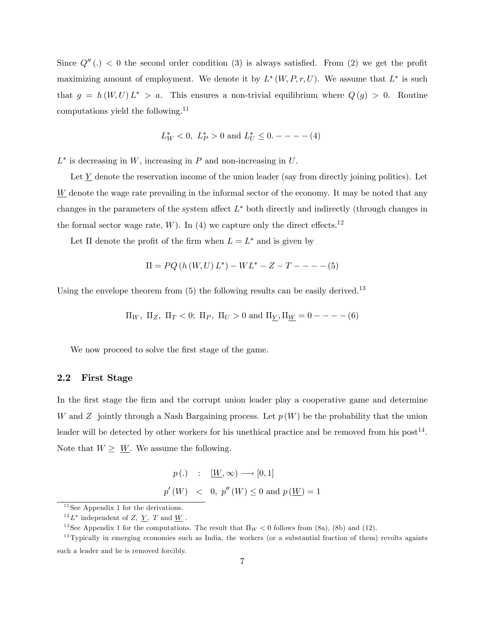Since  $Q''(.) < 0$  the second order condition (3) is always satisfied. From (2) we get the profit maximizing amount of employment. We denote it by  $L^*(W, P, r, U)$ . We assume that  $L^*$  is such that  $g = h(W, U) L^* > a$ . This ensures a non-trivial equilibrium where  $Q(g) > 0$ . Routine computations yield the following.<sup>11</sup>

$$
L^*_W < 0, \ L^*_P > 0 \ \text{and} \ L^*_U \leq 0. --- (4)
$$

 $L^*$  is decreasing in W, increasing in P and non-increasing in U.

Let  $Y$  denote the reservation income of the union leader (say from directly joining politics). Let  $W$  denote the wage rate prevailing in the informal sector of the economy. It may be noted that any changes in the parameters of the system affect  $L^*$  both directly and indirectly (through changes in the formal sector wage rate,  $W$ ). In (4) we capture only the direct effects.<sup>12</sup>

Let  $\Pi$  denote the profit of the firm when  $L = L^*$  and is given by

$$
\Pi = PQ(h(W, U) L^*) - WL^* - Z - T - - - - (5)
$$

Using the envelope theorem from  $(5)$  the following results can be easily derived.<sup>13</sup>

$$
\Pi_W
$$
,  $\Pi_Z$ ,  $\Pi_T < 0$ ;  $\Pi_P$ ,  $\Pi_U > 0$  and  $\Pi_Y$ ,  $\Pi_W = 0$  — — — (6)

We now proceed to solve the first stage of the game.

#### 2.2 First Stage

In the first stage the firm and the corrupt union leader play a cooperative game and determine W and Z jointly through a Nash Bargaining process. Let  $p(W)$  be the probability that the union leader will be detected by other workers for his unethical practice and be removed from his post<sup>14</sup>. Note that  $W \geq W$ . We assume the following.

$$
p(.) \quad : \quad [\underline{W}, \infty) \longrightarrow [0, 1]
$$
  

$$
p'(W) \quad < \quad 0, \ p''(W) \le 0 \text{ and } p(\underline{W}) = 1
$$

 $11$  See Appendix 1 for the derivations.

 $^{12}L^*$  independent of Z,  $\underline{Y}$ , T and  $\underline{W}$ .

<sup>&</sup>lt;sup>13</sup> See Appendix 1 for the computations. The result that  $\Pi_W < 0$  follows from (8a), (8b) and (12).

 $14$ Typically in emerging economies such as India, the workers (or a substantial fraction of them) revolts againts such a leader and he is removed forcibly.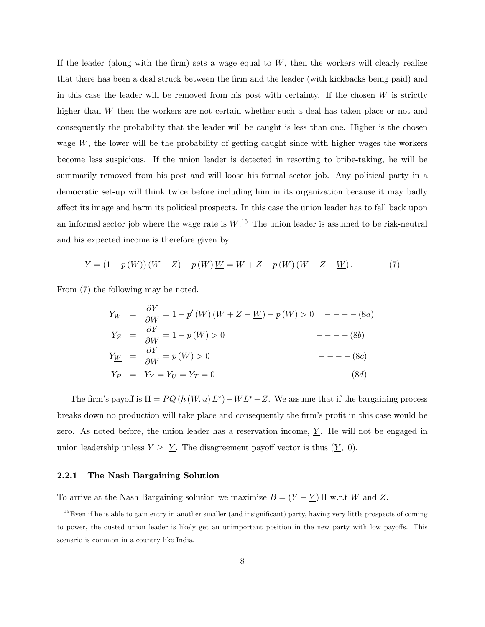If the leader (along with the firm) sets a wage equal to  $W$ , then the workers will clearly realize that there has been a deal struck between the Örm and the leader (with kickbacks being paid) and in this case the leader will be removed from his post with certainty. If the chosen  $W$  is strictly higher than  $W$  then the workers are not certain whether such a deal has taken place or not and consequently the probability that the leader will be caught is less than one. Higher is the chosen wage  $W$ , the lower will be the probability of getting caught since with higher wages the workers become less suspicious. If the union leader is detected in resorting to bribe-taking, he will be summarily removed from his post and will loose his formal sector job. Any political party in a democratic set-up will think twice before including him in its organization because it may badly affect its image and harm its political prospects. In this case the union leader has to fall back upon an informal sector job where the wage rate is  $\underline{W}$ .<sup>15</sup> The union leader is assumed to be risk-neutral and his expected income is therefore given by

$$
Y = (1 - p(W))(W + Z) + p(W)\underline{W} = W + Z - p(W)(W + Z - \underline{W}) \cdot --- (7)
$$

From (7) the following may be noted.

$$
Y_W = \frac{\partial Y}{\partial W} = 1 - p'(W)(W + Z - W) - p(W) > 0 \quad --- (8a)
$$
  
\n
$$
Y_Z = \frac{\partial Y}{\partial W} = 1 - p(W) > 0 \qquad --- (8b)
$$
  
\n
$$
Y_{\underline{W}} = \frac{\partial Y}{\partial \underline{W}} = p(W) > 0 \qquad --- (8c)
$$
  
\n
$$
Y_P = Y_{\underline{Y}} = Y_U = Y_T = 0 \qquad --- (8d)
$$

The firm's payoff is  $\Pi = PQ(h(W, u), L^*) - WL^* - Z$ . We assume that if the bargaining process breaks down no production will take place and consequently the firm's profit in this case would be zero. As noted before, the union leader has a reservation income,  $Y$ . He will not be engaged in union leadership unless  $Y \geq Y$ . The disagreement payoff vector is thus  $(Y, 0)$ .

#### 2.2.1 The Nash Bargaining Solution

To arrive at the Nash Bargaining solution we maximize  $B = (Y - \underline{Y}) \Pi$  w.r.t W and Z.

 $15$  Even if he is able to gain entry in another smaller (and insignificant) party, having very little prospects of coming to power, the ousted union leader is likely get an unimportant position in the new party with low payoffs. This scenario is common in a country like India.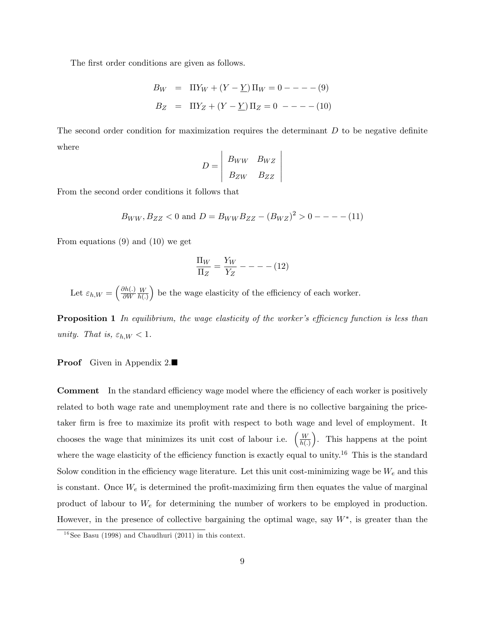The first order conditions are given as follows.

$$
B_W = \Pi Y_W + (Y - \underline{Y}) \Pi_W = 0 - - - - (9)
$$
  

$$
B_Z = \Pi Y_Z + (Y - \underline{Y}) \Pi_Z = 0 - - - - (10)
$$

The second order condition for maximization requires the determinant  $D$  to be negative definite where

$$
D = \begin{vmatrix} B_{WW} & B_{WZ} \\ B_{ZW} & B_{ZZ} \end{vmatrix}
$$

From the second order conditions it follows that

$$
B_{WW}, B_{ZZ} < 0
$$
 and  $D = B_{WW}B_{ZZ} - (B_{WZ})^2 > 0$  - - - - (11)

From equations (9) and (10) we get

$$
\frac{\Pi_W}{\Pi_Z} = \frac{Y_W}{Y_Z} - - - - (12)
$$

Let  $\varepsilon_{h,W} = \left(\frac{\partial h(.)}{\partial W}\right)$  $\partial W$ W  $h(.)$  $\big)$  be the wage elasticity of the efficiency of each worker.

**Proposition 1** In equilibrium, the wage elasticity of the worker's efficiency function is less than unity. That is,  $\varepsilon_{h,W} < 1$ .

#### **Proof** Given in Appendix 2.■

**Comment** In the standard efficiency wage model where the efficiency of each worker is positively related to both wage rate and unemployment rate and there is no collective bargaining the pricetaker firm is free to maximize its profit with respect to both wage and level of employment. It chooses the wage that minimizes its unit cost of labour i.e.  $\left(\frac{W}{h(T+1)}\right)$  $h(.)$  . This happens at the point where the wage elasticity of the efficiency function is exactly equal to unity.<sup>16</sup> This is the standard Solow condition in the efficiency wage literature. Let this unit cost-minimizing wage be  $W_e$  and this is constant. Once  $W_e$  is determined the profit-maximizing firm then equates the value of marginal product of labour to  $W_e$  for determining the number of workers to be employed in production. However, in the presence of collective bargaining the optimal wage, say  $W^*$ , is greater than the

 $16$ See Basu (1998) and Chaudhuri (2011) in this context.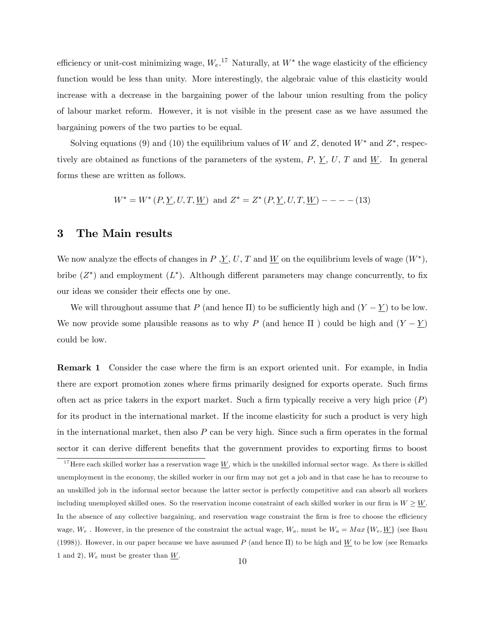efficiency or unit-cost minimizing wage,  $W_e$ .<sup>17</sup> Naturally, at  $W^*$  the wage elasticity of the efficiency function would be less than unity. More interestingly, the algebraic value of this elasticity would increase with a decrease in the bargaining power of the labour union resulting from the policy of labour market reform. However, it is not visible in the present case as we have assumed the bargaining powers of the two parties to be equal.

Solving equations (9) and (10) the equilibrium values of W and Z, denoted  $W^*$  and  $Z^*$ , respectively are obtained as functions of the parameters of the system,  $P, Y, U, T$  and W. In general forms these are written as follows.

$$
W^* = W^* (P, \underline{Y}, U, T, \underline{W}) \text{ and } Z^* = Z^* (P, \underline{Y}, U, T, \underline{W}) --- (13)
$$

#### 3 The Main results

We now analyze the effects of changes in P,  $\underline{Y}$ , U, T and  $\underline{W}$  on the equilibrium levels of wage  $(W^*)$ , bribe  $(Z^*)$  and employment  $(L^*)$ . Although different parameters may change concurrently, to fix our ideas we consider their effects one by one.

We will throughout assume that P (and hence  $\Pi$ ) to be sufficiently high and  $(Y - \underline{Y})$  to be low. We now provide some plausible reasons as to why P (and hence  $\Pi$  ) could be high and  $(Y - Y)$ could be low.

**Remark 1** Consider the case where the firm is an export oriented unit. For example, in India there are export promotion zones where firms primarily designed for exports operate. Such firms often act as price takers in the export market. Such a firm typically receive a very high price  $(P)$ for its product in the international market. If the income elasticity for such a product is very high in the international market, then also  $P$  can be very high. Since such a firm operates in the formal sector it can derive different benefits that the government provides to exporting firms to boost

<sup>&</sup>lt;sup>17</sup> Here each skilled worker has a reservation wage  $\underline{W}$ , which is the unskilled informal sector wage. As there is skilled unemployment in the economy, the skilled worker in our firm may not get a job and in that case he has to recourse to an unskilled job in the informal sector because the latter sector is perfectly competitive and can absorb all workers including unemployed skilled ones. So the reservation income constraint of each skilled worker in our firm is  $W \geq W$ . In the absence of any collective bargaining, and reservation wage constraint the firm is free to choose the efficiency wage,  $W_e$ . However, in the presence of the constraint the actual wage,  $W_a$ , must be  $W_a = Max\{W_e, \underline{W}\}$  (see Basu (1998)). However, in our paper because we have assumed P (and hence  $\Pi$ ) to be high and  $\underline{W}$  to be low (see Remarks 1 and 2),  $W_e$  must be greater than W.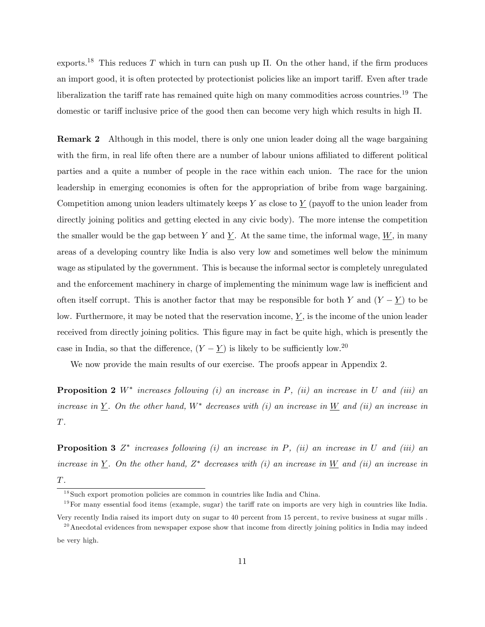exports.<sup>18</sup> This reduces T which in turn can push up  $\Pi$ . On the other hand, if the firm produces an import good, it is often protected by protectionist policies like an import tariff. Even after trade liberalization the tariff rate has remained quite high on many commodities across countries.<sup>19</sup> The domestic or tariff inclusive price of the good then can become very high which results in high  $\Pi$ .

Remark 2 Although in this model, there is only one union leader doing all the wage bargaining with the firm, in real life often there are a number of labour unions affiliated to different political parties and a quite a number of people in the race within each union. The race for the union leadership in emerging economies is often for the appropriation of bribe from wage bargaining. Competition among union leaders ultimately keeps Y as close to  $\underline{Y}$  (payoff to the union leader from directly joining politics and getting elected in any civic body). The more intense the competition the smaller would be the gap between Y and  $\underline{Y}$ . At the same time, the informal wage,  $\underline{W}$ , in many areas of a developing country like India is also very low and sometimes well below the minimum wage as stipulated by the government. This is because the informal sector is completely unregulated and the enforcement machinery in charge of implementing the minimum wage law is inefficient and often itself corrupt. This is another factor that may be responsible for both Y and  $(Y - Y)$  to be low. Furthermore, it may be noted that the reservation income,  $\underline{Y}$ , is the income of the union leader received from directly joining politics. This figure may in fact be quite high, which is presently the case in India, so that the difference,  $(Y - \underline{Y})$  is likely to be sufficiently low.<sup>20</sup>

We now provide the main results of our exercise. The proofs appear in Appendix 2.

**Proposition 2**  $W^*$  increases following (i) an increase in P, (ii) an increase in U and (iii) an increase in Y. On the other hand,  $W^*$  decreases with (i) an increase in W and (ii) an increase in  $\cal T.$ 

**Proposition 3**  $Z^*$  increases following (i) an increase in P, (ii) an increase in U and (iii) an increase in  $\underline{Y}$ . On the other hand,  $Z^*$  decreases with (i) an increase in  $\underline{W}$  and (ii) an increase in T.

 $18$ Such export promotion policies are common in countries like India and China.

 $19$  For many essential food items (example, sugar) the tariff rate on imports are very high in countries like India.

Very recently India raised its import duty on sugar to 40 percent from 15 percent, to revive business at sugar mills .  $20$ Anecdotal evidences from newspaper expose show that income from directly joining politics in India may indeed

be very high.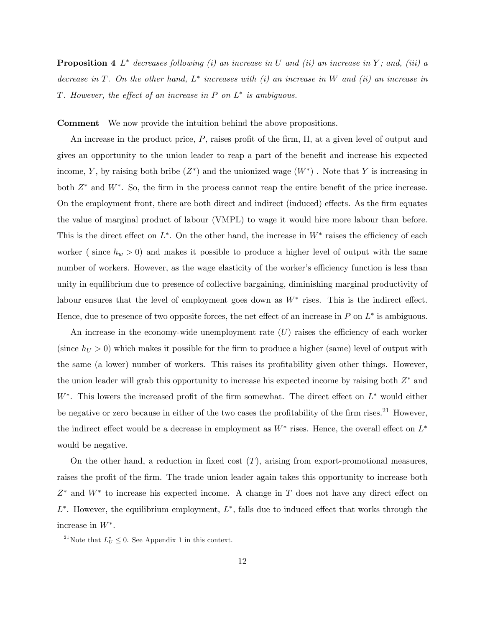**Proposition 4**  $L^*$  decreases following (i) an increase in U and (ii) an increase in  $\underline{Y}$ ; and, (iii) a decrease in T. On the other hand,  $L^*$  increases with (i) an increase in W and (ii) an increase in T. However, the effect of an increase in  $P$  on  $L^*$  is ambiguous.

Comment We now provide the intuition behind the above propositions.

An increase in the product price,  $P$ , raises profit of the firm,  $\Pi$ , at a given level of output and gives an opportunity to the union leader to reap a part of the benefit and increase his expected income, Y, by raising both bribe  $(Z^*)$  and the unionized wage  $(W^*)$ . Note that Y is increasing in both  $Z^*$  and  $W^*$ . So, the firm in the process cannot reap the entire benefit of the price increase. On the employment front, there are both direct and indirect (induced) effects. As the firm equates the value of marginal product of labour (VMPL) to wage it would hire more labour than before. This is the direct effect on  $L^*$ . On the other hand, the increase in  $W^*$  raises the efficiency of each worker ( since  $h_w > 0$ ) and makes it possible to produce a higher level of output with the same number of workers. However, as the wage elasticity of the worker's efficiency function is less than unity in equilibrium due to presence of collective bargaining, diminishing marginal productivity of labour ensures that the level of employment goes down as  $W^*$  rises. This is the indirect effect. Hence, due to presence of two opposite forces, the net effect of an increase in  $P$  on  $L^*$  is ambiguous.

An increase in the economy-wide unemployment rate  $(U)$  raises the efficiency of each worker (since  $h_U > 0$ ) which makes it possible for the firm to produce a higher (same) level of output with the same (a lower) number of workers. This raises its profitability given other things. However, the union leader will grab this opportunity to increase his expected income by raising both  $Z^*$  and  $W^*$ . This lowers the increased profit of the firm somewhat. The direct effect on  $L^*$  would either be negative or zero because in either of the two cases the profitability of the firm rises.<sup>21</sup> However, the indirect effect would be a decrease in employment as  $W^*$  rises. Hence, the overall effect on  $L^*$ would be negative.

On the other hand, a reduction in fixed cost  $(T)$ , arising from export-promotional measures. raises the profit of the firm. The trade union leader again takes this opportunity to increase both  $Z^*$  and  $W^*$  to increase his expected income. A change in T does not have any direct effect on  $L^*$ . However, the equilibrium employment,  $L^*$ , falls due to induced effect that works through the increase in  $W^*$ .

<sup>&</sup>lt;sup>21</sup>Note that  $L_U^* \leq 0$ . See Appendix 1 in this context.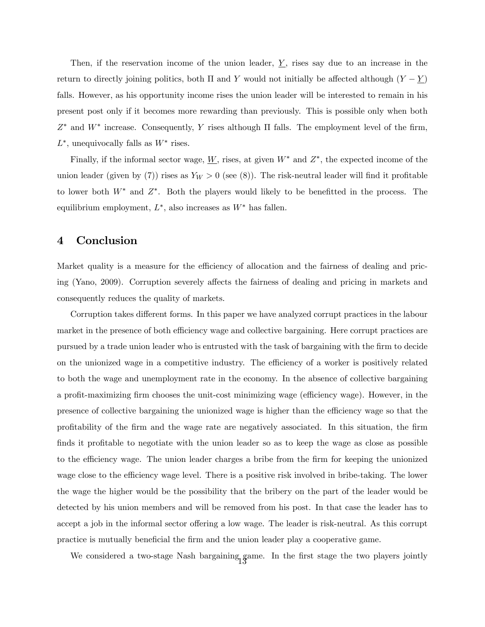Then, if the reservation income of the union leader,  $\underline{Y}$ , rises say due to an increase in the return to directly joining politics, both  $\Pi$  and Y would not initially be affected although  $(Y - \underline{Y})$ falls. However, as his opportunity income rises the union leader will be interested to remain in his present post only if it becomes more rewarding than previously. This is possible only when both  $Z^*$  and  $W^*$  increase. Consequently, Y rises although  $\Pi$  falls. The employment level of the firm,  $L^*$ , unequivocally falls as  $W^*$  rises.

Finally, if the informal sector wage,  $\underline{W}$ , rises, at given  $W^*$  and  $Z^*$ , the expected income of the union leader (given by (7)) rises as  $Y_W > 0$  (see (8)). The risk-neutral leader will find it profitable to lower both  $W^*$  and  $Z^*$ . Both the players would likely to be benefitted in the process. The equilibrium employment,  $L^*$ , also increases as  $W^*$  has fallen.

## 4 Conclusion

Market quality is a measure for the efficiency of allocation and the fairness of dealing and pricing (Yano, 2009). Corruption severely affects the fairness of dealing and pricing in markets and consequently reduces the quality of markets.

Corruption takes different forms. In this paper we have analyzed corrupt practices in the labour market in the presence of both efficiency wage and collective bargaining. Here corrupt practices are pursued by a trade union leader who is entrusted with the task of bargaining with the firm to decide on the unionized wage in a competitive industry. The efficiency of a worker is positively related to both the wage and unemployment rate in the economy. In the absence of collective bargaining a profit-maximizing firm chooses the unit-cost minimizing wage (efficiency wage). However, in the presence of collective bargaining the unionized wage is higher than the efficiency wage so that the proÖtability of the Örm and the wage rate are negatively associated. In this situation, the Örm finds it profitable to negotiate with the union leader so as to keep the wage as close as possible to the efficiency wage. The union leader charges a bribe from the firm for keeping the unionized wage close to the efficiency wage level. There is a positive risk involved in bribe-taking. The lower the wage the higher would be the possibility that the bribery on the part of the leader would be detected by his union members and will be removed from his post. In that case the leader has to accept a job in the informal sector offering a low wage. The leader is risk-neutral. As this corrupt practice is mutually beneficial the firm and the union leader play a cooperative game.

We considered a two-stage Nash bargaining game. In the first stage the two players jointly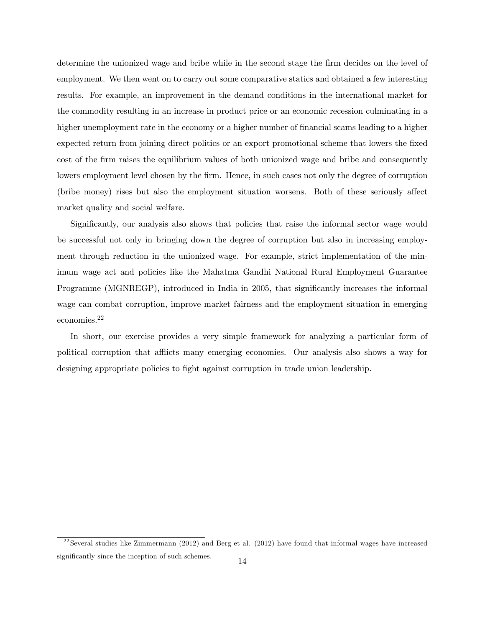determine the unionized wage and bribe while in the second stage the firm decides on the level of employment. We then went on to carry out some comparative statics and obtained a few interesting results. For example, an improvement in the demand conditions in the international market for the commodity resulting in an increase in product price or an economic recession culminating in a higher unemployment rate in the economy or a higher number of financial scams leading to a higher expected return from joining direct politics or an export promotional scheme that lowers the fixed cost of the firm raises the equilibrium values of both unionized wage and bribe and consequently lowers employment level chosen by the firm. Hence, in such cases not only the degree of corruption (bribe money) rises but also the employment situation worsens. Both of these seriously affect market quality and social welfare.

Significantly, our analysis also shows that policies that raise the informal sector wage would be successful not only in bringing down the degree of corruption but also in increasing employment through reduction in the unionized wage. For example, strict implementation of the minimum wage act and policies like the Mahatma Gandhi National Rural Employment Guarantee Programme (MGNREGP), introduced in India in 2005, that significantly increases the informal wage can combat corruption, improve market fairness and the employment situation in emerging economies.<sup>22</sup>

In short, our exercise provides a very simple framework for analyzing a particular form of political corruption that afflicts many emerging economies. Our analysis also shows a way for designing appropriate policies to fight against corruption in trade union leadership.

 $22$ Several studies like Zimmermann (2012) and Berg et al. (2012) have found that informal wages have increased significantly since the inception of such schemes.  $14$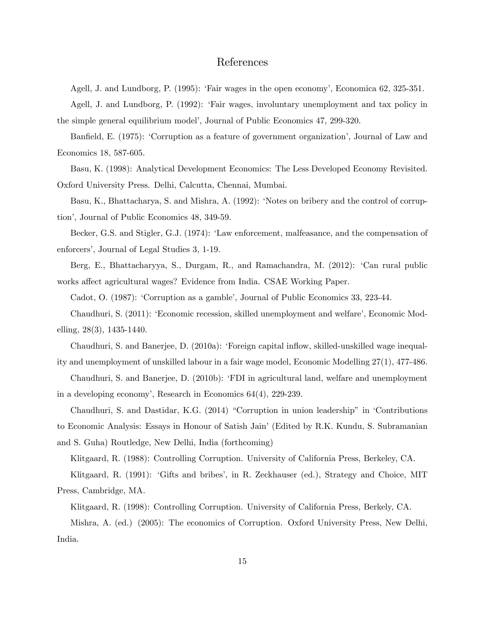## References

Agell, J. and Lundborg, P. (1995): ëFair wages in the open economyí, Economica 62, 325-351.

Agell, J. and Lundborg, P. (1992): ëFair wages, involuntary unemployment and tax policy in the simple general equilibrium modelí, Journal of Public Economics 47, 299-320.

Banfield, E. (1975): 'Corruption as a feature of government organization', Journal of Law and Economics 18, 587-605.

Basu, K. (1998): Analytical Development Economics: The Less Developed Economy Revisited. Oxford University Press. Delhi, Calcutta, Chennai, Mumbai.

Basu, K., Bhattacharya, S. and Mishra, A. (1992): 'Notes on bribery and the control of corruption', Journal of Public Economics 48, 349-59.

Becker, G.S. and Stigler, G.J. (1974): 'Law enforcement, malfeasance, and the compensation of enforcers', Journal of Legal Studies 3, 1-19.

Berg, E., Bhattacharyya, S., Durgam, R., and Ramachandra, M. (2012): 'Can rural public works affect agricultural wages? Evidence from India. CSAE Working Paper.

Cadot, O. (1987): 'Corruption as a gamble', Journal of Public Economics 33, 223-44.

Chaudhuri, S. (2011): ëEconomic recession, skilled unemployment and welfareí, Economic Modelling, 28(3), 1435-1440.

Chaudhuri, S. and Banerjee, D. (2010a): 'Foreign capital inflow, skilled-unskilled wage inequality and unemployment of unskilled labour in a fair wage model, Economic Modelling 27(1), 477-486.

Chaudhuri, S. and Banerjee, D. (2010b): ëFDI in agricultural land, welfare and unemployment in a developing economyí, Research in Economics 64(4), 229-239.

Chaudhuri, S. and Dastidar, K.G. (2014) "Corruption in union leadership" in 'Contributions to Economic Analysis: Essays in Honour of Satish Jain' (Edited by R.K. Kundu, S. Subramanian and S. Guha) Routledge, New Delhi, India (forthcoming)

Klitgaard, R. (1988): Controlling Corruption. University of California Press, Berkeley, CA.

Klitgaard, R. (1991): 'Gifts and bribes', in R. Zeckhauser (ed.), Strategy and Choice, MIT Press, Cambridge, MA.

Klitgaard, R. (1998): Controlling Corruption. University of California Press, Berkely, CA.

Mishra, A. (ed.) (2005): The economics of Corruption. Oxford University Press, New Delhi, India.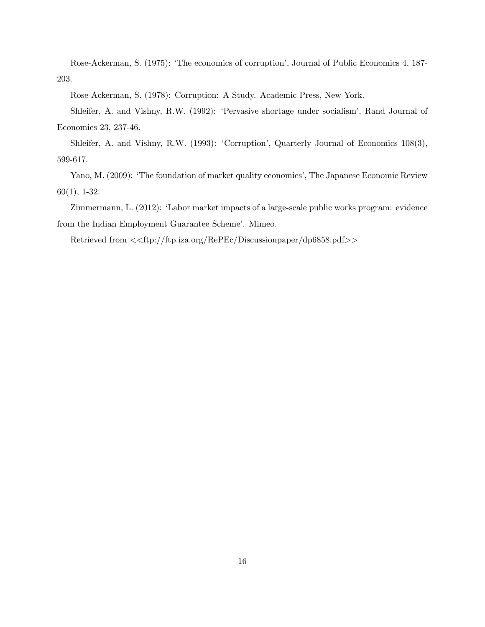Rose-Ackerman, S. (1975): 'The economics of corruption', Journal of Public Economics 4, 187-203.

Rose-Ackerman, S. (1978): Corruption: A Study. Academic Press, New York.

Shleifer, A. and Vishny, R.W. (1992): 'Pervasive shortage under socialism', Rand Journal of Economics 23, 237-46.

Shleifer, A. and Vishny, R.W. (1993): 'Corruption', Quarterly Journal of Economics 108(3), 599-617.

Yano, M. (2009): 'The foundation of market quality economics', The Japanese Economic Review 60(1), 1-32.

Zimmermann, L. (2012): 'Labor market impacts of a large-scale public works program: evidence from the Indian Employment Guarantee Scheme'. Mimeo.

Retrieved from <<ftp://ftp.iza.org/RePEc/Discussionpaper/dp6858.pdf>>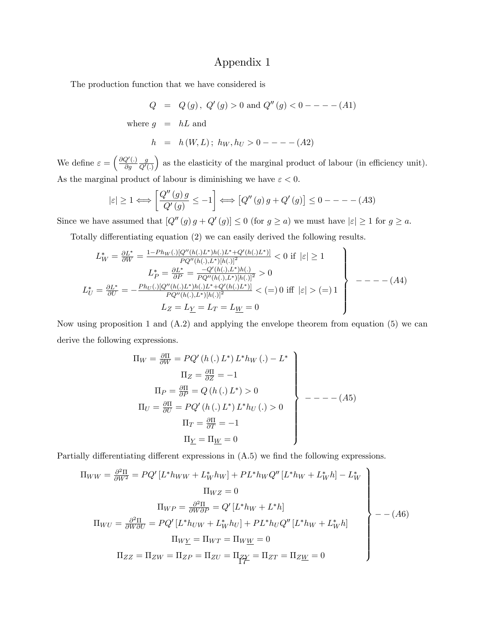## Appendix 1

The production function that we have considered is

$$
Q = Q(g), Q'(g) > 0 \text{ and } Q''(g) < 0 --- (A1)
$$
  
where  $g = hL$  and  

$$
h = h(W, L); h_W, h_U > 0 --- (A2)
$$

We define  $\varepsilon = \left(\frac{\partial Q'(\lambda)}{\partial a}\right)$  $\partial g$ g  $Q'(.)$ ) as the elasticity of the marginal product of labour (in efficiency unit). As the marginal product of labour is diminishing we have  $\varepsilon < 0$ .

$$
|\varepsilon| \ge 1 \Longleftrightarrow \left[\frac{Q''(g) g}{Q'(g)} \le -1\right] \Longleftrightarrow \left[Q''(g) g + Q'(g)\right] \le 0 --- (A3)
$$

Since we have assumed that  $[Q''(g) g + Q'(g)] \leq 0$  (for  $g \geq a$ ) we must have  $|\varepsilon| \geq 1$  for  $g \geq a$ .

Totally differentiating equation  $(2)$  we can easily derived the following results.

$$
L_W^* = \frac{\partial L^*}{\partial W} = \frac{1 - Ph_W(.)[Q''(h(.))L^*)h(.)L^* + Q'(h(.))L^*)]}{PQ''(h(.), L^*)[h(.)]^2} < 0 \text{ if } |\varepsilon| \ge 1
$$
  
\n
$$
L_P^* = \frac{\partial L^*}{\partial P} = \frac{-Q'(h(.), L^*)h(.)}{PQ''(h(.), L^*)[h(.)]^2} > 0
$$
  
\n
$$
L_U^* = \frac{\partial L^*}{\partial U} = -\frac{Ph_U(.)[Q''(h(.))L^*)h(.)L^* + Q'(h(.))L^*)}{PQ''(h(.), L^*)[h(.)]^2} < (=) 0 \text{ iff } |\varepsilon| > (=) 1
$$
  
\n
$$
L_Z = L_Y = L_T = L_W = 0
$$

Now using proposition 1 and (A.2) and applying the envelope theorem from equation (5) we can derive the following expressions.

$$
\Pi_W = \frac{\partial \Pi}{\partial W} = PQ'(h(.) L^*) L^* h_W(.) - L^*
$$
\n
$$
\Pi_Z = \frac{\partial \Pi}{\partial Z} = -1
$$
\n
$$
\Pi_P = \frac{\partial \Pi}{\partial P} = Q(h(.) L^*) > 0
$$
\n
$$
\Pi_U = \frac{\partial \Pi}{\partial U} = PQ'(h(.) L^*) L^* h_U(.) > 0
$$
\n
$$
\Pi_T = \frac{\partial \Pi}{\partial T} = -1
$$
\n
$$
\Pi_{\underline{Y}} = \Pi_{\underline{W}} = 0
$$

Partially differentiating different expressions in  $(A.5)$  we find the following expressions.

$$
\Pi_{WW} = \frac{\partial^2 \Pi}{\partial W^2} = PQ'\left[L^*h_{WW} + L^*_{W}h_{W}\right] + PL^*h_{W}Q''\left[L^*h_{W} + L^*_{W}h\right] - L^*_{W}
$$
\n
$$
\Pi_{WZ} = 0
$$
\n
$$
\Pi_{WP} = \frac{\partial^2 \Pi}{\partial W \partial P} = Q'\left[L^*h_{W} + L^*h\right]
$$
\n
$$
\Pi_{WU} = \frac{\partial^2 \Pi}{\partial W \partial U} = PQ'\left[L^*h_{UW} + L^*_{W}h_{U}\right] + PL^*h_{U}Q''\left[L^*h_{W} + L^*_{W}h\right]
$$
\n
$$
\Pi_{W\underline{Y}} = \Pi_{WT} = \Pi_{WW} = 0
$$
\n
$$
\Pi_{ZZ} = \Pi_{ZW} = \Pi_{ZP} = \Pi_{ZU} = \Pi_{ZT} = \Pi_{ZT} = \Pi_{ZW} = 0
$$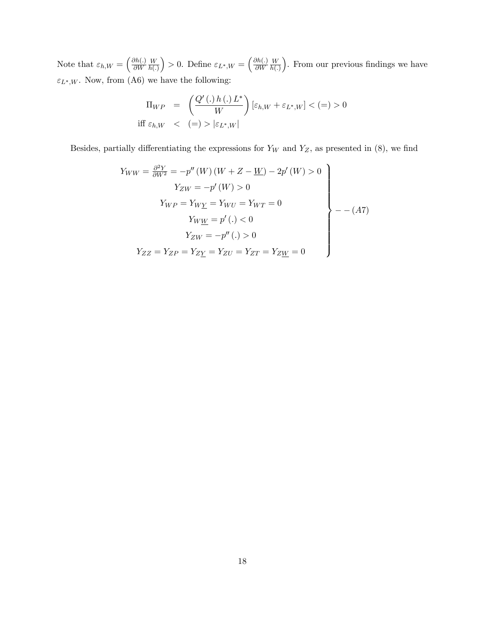Note that  $\varepsilon_{h,W} = \left(\frac{\partial h(.)}{\partial W}\right)$  $\partial W$ W  $h(.)$ ) > 0. Define  $\varepsilon_{L^*,W} = \left(\frac{\partial h(.)}{\partial W}\right)$  $\partial W$ W  $h(.)$ ). From our previous findings we have  $\varepsilon_{L^*,W}.$  Now, from (A6) we have the following:

$$
\Pi_{WP} = \left(\frac{Q'(.) h(.) L^*}{W}\right) [\varepsilon_{h,W} + \varepsilon_{L^*,W}] < (=) > 0
$$
  
iff  $\varepsilon_{h,W} < (=) > |\varepsilon_{L^*,W}|$ 

Besides, partially differentiating the expressions for  $Y_W$  and  $Y_Z$ , as presented in (8), we find

$$
Y_{WW} = \frac{\partial^2 Y}{\partial W^2} = -p''(W)(W + Z - \underline{W}) - 2p'(W) > 0
$$
  
\n
$$
Y_{ZW} = -p'(W) > 0
$$
  
\n
$$
Y_{WP} = Y_{W\underline{Y}} = Y_{WU} = Y_{WT} = 0
$$
  
\n
$$
Y_{WW} = p'(.) < 0
$$
  
\n
$$
Y_{ZW} = -p''(.) > 0
$$
  
\n
$$
Y_{ZZ} = Y_{ZP} = Y_{Z\underline{Y}} = Y_{ZU} = Y_{ZT} = Y_{ZW} = 0
$$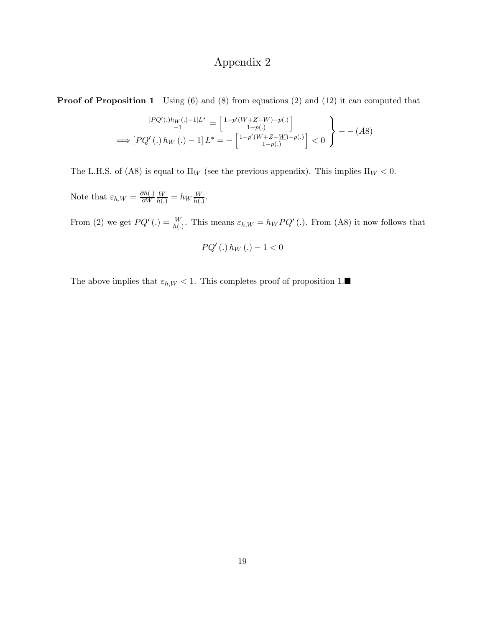# Appendix 2

**Proof of Proposition 1** Using (6) and (8) from equations (2) and (12) it can computed that

$$
\frac{[PQ'(.)h_W(.)-1]L^*}{-1} = \left[\frac{1-p'(W+Z-W)-p(.)}{1-p(.)}\right] \\
\implies [PQ'(.)h_W(.)-1]L^* = -\left[\frac{1-p'(W+Z-W)-p(.)}{1-p(.)}\right] < 0
$$

The L.H.S. of (A8) is equal to  $\Pi_W$  (see the previous appendix). This implies  $\Pi_W < 0$ .

Note that  $\varepsilon_{h,W} = \frac{\partial h(.)}{\partial W}$  $\partial W$  $\frac{W}{h(.)} = h_W \frac{W}{h(.)}$  $\frac{W}{h(.)}$ .

From (2) we get  $PQ'$  (.) =  $\frac{W}{h(.)}$ . This means  $\varepsilon_{h,W} = h_W P Q'$  (.). From (A8) it now follows that

$$
PQ' (.)\, h_W(.) - 1 < 0
$$

The above implies that  $\varepsilon_{h,W} < 1$ . This completes proof of proposition 1.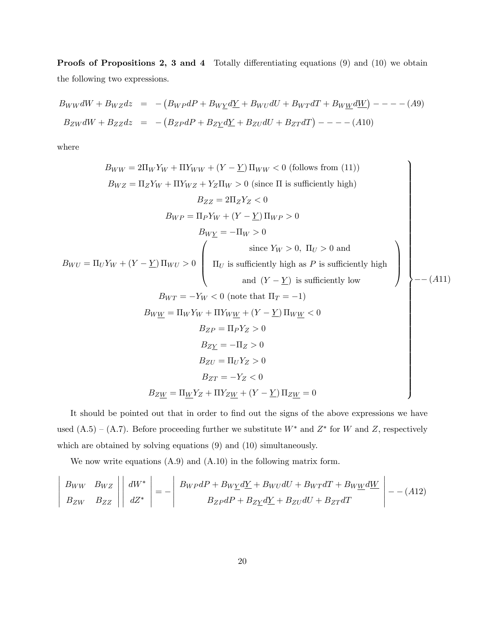**Proofs of Propositions 2, 3 and 4** Totally differentiating equations  $(9)$  and  $(10)$  we obtain the following two expressions.

$$
B_{WW}dW + B_{WZ}dz = -(B_{WP}dP + B_{W\underline{Y}}d\underline{Y} + B_{WU}dU + B_{WT}dT + B_{WW}d\underline{W}) - - - - (A9)
$$
  

$$
B_{ZW}dW + B_{ZZ}dz = -(B_{ZP}dP + B_{Z\underline{Y}}d\underline{Y} + B_{ZU}dU + B_{ZT}dT) - - - - (A10)
$$

where

 $\overline{\phantom{a}}$ I  $\overline{\phantom{a}}$ I  $\overline{\phantom{a}}$  $\mathsf{l}$ 

$$
B_{WW} = 2\Pi_W Y_W + \Pi Y_{WW} + (Y - \underline{Y}) \Pi_{WW} < 0 \text{ (follows from (11))}
$$
\n
$$
B_{WZ} = \Pi_Z Y_W + \Pi Y_{WZ} + Y_Z \Pi_W > 0 \text{ (since } \Pi \text{ is sufficiently high)}
$$
\n
$$
B_{ZZ} = 2\Pi_Z Y_Z < 0
$$
\n
$$
B_{WY} = \Pi_P Y_W + (Y - \underline{Y}) \Pi_{WP} > 0
$$
\n
$$
B_{WZ} = -\Pi_W > 0
$$
\n
$$
\text{since } Y_W > 0, \Pi_U > 0 \text{ and}
$$
\n
$$
\text{since } Y_W > 0, \Pi_U > 0 \text{ and}
$$
\n
$$
(\underline{Y} - \underline{Y}) \text{ is sufficiently high as } P \text{ is sufficiently high}
$$
\n
$$
\text{and } (Y - \underline{Y}) \text{ is sufficiently low}
$$
\n
$$
B_{WY} = -Y_W < 0 \text{ (note that } \Pi_T = -1)
$$
\n
$$
B_{WW} = \Pi_W Y_W + \Pi Y_{WW} + (Y - \underline{Y}) \Pi_W \underline{W} < 0
$$
\n
$$
B_{ZY} = \Pi_P Y_Z > 0
$$
\n
$$
B_{ZY} = -\Pi_Z > 0
$$
\n
$$
B_{ZY} = \Pi_U Y_Z > 0
$$
\n
$$
B_{ZY} = -Y_Z < 0
$$
\n
$$
B_{ZW} = \Pi_{W} Y_Z + \Pi Y_{ZW} + (Y - \underline{Y}) \Pi_{ZW} = 0
$$

It should be pointed out that in order to find out the signs of the above expressions we have used  $(A.5) - (A.7)$ . Before proceeding further we substitute  $W^*$  and  $Z^*$  for W and Z, respectively which are obtained by solving equations (9) and (10) simultaneously.

We now write equations (A.9) and (A.10) in the following matrix form.

$$
\begin{vmatrix}\nB_{WW} & B_{WZ} \\
B_{ZW} & B_{ZZ}\n\end{vmatrix}\n\begin{vmatrix}\ndW^* \\
dZ^*\n\end{vmatrix} = -\n\begin{vmatrix}\nB_{WP}dP + B_{WY}dY + B_{WU}dU + B_{WT}dT + B_{WW}dW \\
B_{ZP}dP + B_{ZY}dY + B_{ZU}dU + B_{ZT}dT\n\end{vmatrix} - -(A12)
$$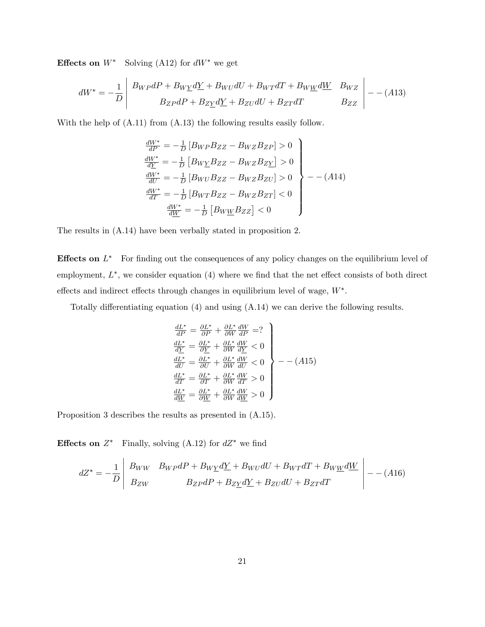**Effects on**  $W^*$  Solving (A12) for  $dW^*$  we get

$$
dW^* = -\frac{1}{D} \begin{vmatrix} B_{WP}dP + B_{W\underline{Y}}d\underline{Y} + B_{WU}dU + B_{WT}dT + B_{W\underline{W}}d\underline{W} & B_{WZ} \\ B_{ZP}dP + B_{Z\underline{Y}}d\underline{Y} + B_{ZU}dU + B_{ZT}dT & B_{ZZ} \end{vmatrix} - (A13)
$$

With the help of (A.11) from (A.13) the following results easily follow.

$$
\begin{aligned}\n\frac{dW^*}{dP} &= -\frac{1}{D} \left[ B_{WP} B_{ZZ} - B_{WZ} B_{ZP} \right] > 0 \\
\frac{dW^*}{dY} &= -\frac{1}{D} \left[ B_{WY} B_{ZZ} - B_{WZ} B_{ZY} \right] > 0 \\
\frac{dW^*}{dU} &= -\frac{1}{D} \left[ B_{WU} B_{ZZ} - B_{WZ} B_{ZU} \right] > 0 \\
\frac{dW^*}{dT} &= -\frac{1}{D} \left[ B_{WT} B_{ZZ} - B_{WZ} B_{ZT} \right] < 0 \\
\frac{dW^*}{dW} &= -\frac{1}{D} \left[ B_{W\underline{W}} B_{ZZ} \right] < 0\n\end{aligned}
$$

The results in (A.14) have been verbally stated in proposition 2.

**Effects on**  $L^*$  For finding out the consequences of any policy changes on the equilibrium level of employment,  $L^*$ , we consider equation  $(4)$  where we find that the net effect consists of both direct effects and indirect effects through changes in equilibrium level of wage,  $W^*$ .

Totally differentiating equation  $(4)$  and using  $(A.14)$  we can derive the following results.

$$
\begin{array}{l}\n\frac{dL^*}{dP} = \frac{\partial L^*}{\partial P} + \frac{\partial L^*}{\partial W} \frac{dW}{dP} = ? \\
\frac{dL^*}{dY} = \frac{\partial L^*}{\partial Y} + \frac{\partial L^*}{\partial W} \frac{dW}{dY} < 0 \\
\frac{dL^*}{dU} = \frac{\partial L^*}{\partial U} + \frac{\partial L^*}{\partial W} \frac{dW}{dU} < 0 \\
\frac{dL^*}{dT} = \frac{\partial L^*}{\partial T} + \frac{\partial L^*}{\partial W} \frac{dW}{dT} > 0 \\
\frac{dL^*}{dW} = \frac{\partial L^*}{\partial W} + \frac{\partial L^*}{\partial W} \frac{dW}{dW} > 0\n\end{array}\n\right\} \n\tag{A15}
$$

Proposition 3 describes the results as presented in (A.15).

**Effects on**  $Z^*$  Finally, solving (A.12) for  $dZ^*$  we find

$$
dZ^* = -\frac{1}{D} \begin{vmatrix} B_{WW} & B_{WP}dP + B_{W\underline{Y}}d\underline{Y} + B_{WU}dU + B_{WT}dT + B_{W\underline{W}}d\underline{W} \\ B_{ZW} & B_{ZP}dP + B_{Z\underline{Y}}d\underline{Y} + B_{ZU}dU + B_{ZT}dT \end{vmatrix} - (A16)
$$